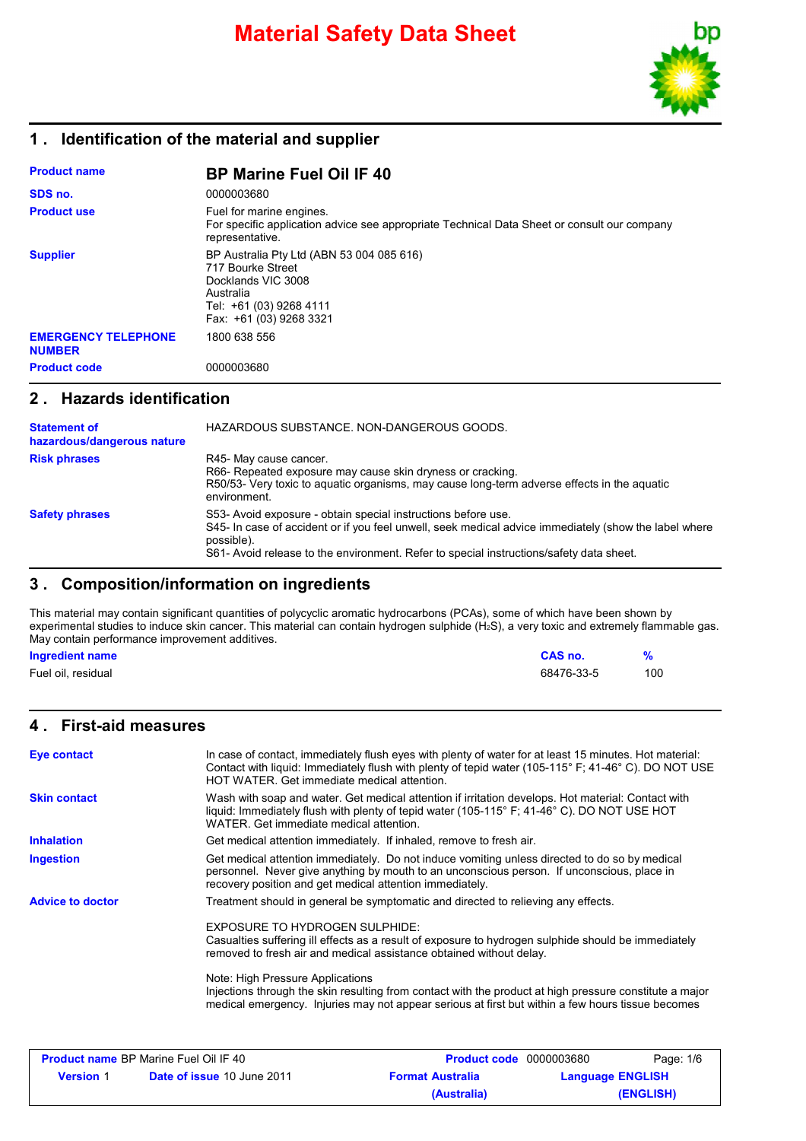

### **1 . Identification of the material and supplier**

| <b>Product name</b>                         | <b>BP Marine Fuel Oil IF 40</b>                                                                                                                         |
|---------------------------------------------|---------------------------------------------------------------------------------------------------------------------------------------------------------|
| SDS no.                                     | 0000003680                                                                                                                                              |
| <b>Product use</b>                          | Fuel for marine engines.<br>For specific application advice see appropriate Technical Data Sheet or consult our company<br>representative.              |
| <b>Supplier</b>                             | BP Australia Pty Ltd (ABN 53 004 085 616)<br>717 Bourke Street<br>Docklands VIC 3008<br>Australia<br>Tel: +61 (03) 9268 4111<br>Fax: +61 (03) 9268 3321 |
| <b>EMERGENCY TELEPHONE</b><br><b>NUMBER</b> | 1800 638 556                                                                                                                                            |
| <b>Product code</b>                         | 0000003680                                                                                                                                              |

### **2 . Hazards identification**

| <b>Statement of</b><br>hazardous/dangerous nature | HAZARDOUS SUBSTANCE. NON-DANGEROUS GOODS.                                                                                                                                                                                                                                       |
|---------------------------------------------------|---------------------------------------------------------------------------------------------------------------------------------------------------------------------------------------------------------------------------------------------------------------------------------|
| <b>Risk phrases</b>                               | R45- May cause cancer.<br>R66- Repeated exposure may cause skin dryness or cracking.<br>R50/53- Very toxic to aguatic organisms, may cause long-term adverse effects in the aguatic<br>environment.                                                                             |
| <b>Safety phrases</b>                             | S53- Avoid exposure - obtain special instructions before use.<br>S45- In case of accident or if you feel unwell, seek medical advice immediately (show the label where<br>possible).<br>S61- Avoid release to the environment. Refer to special instructions/safety data sheet. |

### **3 . Composition/information on ingredients**

This material may contain significant quantities of polycyclic aromatic hydrocarbons (PCAs), some of which have been shown by experimental studies to induce skin cancer. This material can contain hydrogen sulphide (H<sub>2</sub>S), a very toxic and extremely flammable gas. May contain performance improvement additives.

| <b>Ingredient name</b> | CAS no.    |     |
|------------------------|------------|-----|
| Fuel oil, residual     | 68476-33-5 | 100 |

### **4 . First-aid measures**

| Eye contact             | In case of contact, immediately flush eyes with plenty of water for at least 15 minutes. Hot material:<br>Contact with liquid: Immediately flush with plenty of tepid water (105-115° F; 41-46° C). DO NOT USE<br>HOT WATER. Get immediate medical attention. |
|-------------------------|---------------------------------------------------------------------------------------------------------------------------------------------------------------------------------------------------------------------------------------------------------------|
| <b>Skin contact</b>     | Wash with soap and water. Get medical attention if irritation develops. Hot material: Contact with<br>liquid: Immediately flush with plenty of tepid water (105-115° F; 41-46° C). DO NOT USE HOT<br>WATER. Get immediate medical attention.                  |
| <b>Inhalation</b>       | Get medical attention immediately. If inhaled, remove to fresh air.                                                                                                                                                                                           |
| <b>Ingestion</b>        | Get medical attention immediately. Do not induce vomiting unless directed to do so by medical<br>personnel. Never give anything by mouth to an unconscious person. If unconscious, place in<br>recovery position and get medical attention immediately.       |
| <b>Advice to doctor</b> | Treatment should in general be symptomatic and directed to relieving any effects.                                                                                                                                                                             |
|                         | EXPOSURE TO HYDROGEN SULPHIDE:<br>Casualties suffering ill effects as a result of exposure to hydrogen sulphide should be immediately<br>removed to fresh air and medical assistance obtained without delay.                                                  |
|                         | Note: High Pressure Applications<br>Injections through the skin resulting from contact with the product at high pressure constitute a major<br>medical emergency. Injuries may not appear serious at first but within a few hours tissue becomes              |
|                         |                                                                                                                                                                                                                                                               |

| <b>Product name BP Marine Fuel Oil IF 40</b> |                                   | <b>Product code</b> 0000003680 | Page: 1/6               |
|----------------------------------------------|-----------------------------------|--------------------------------|-------------------------|
| <b>Version</b> 1                             | <b>Date of issue 10 June 2011</b> | <b>Format Australia</b>        | <b>Language ENGLISH</b> |
|                                              |                                   | (Australia)                    | (ENGLISH)               |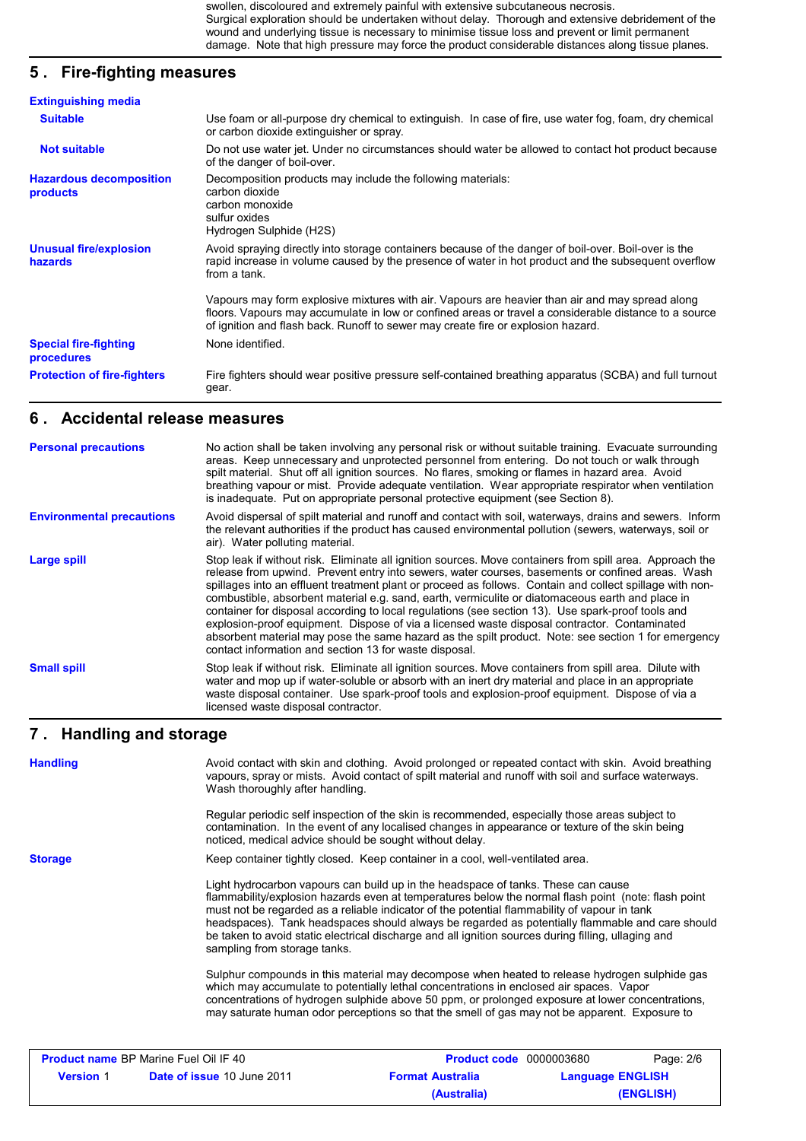swollen, discoloured and extremely painful with extensive subcutaneous necrosis. Surgical exploration should be undertaken without delay. Thorough and extensive debridement of the wound and underlying tissue is necessary to minimise tissue loss and prevent or limit permanent damage. Note that high pressure may force the product considerable distances along tissue planes.

## **5 . Fire-fighting measures**

| <b>Extinguishing media</b>                 |                                                                                                                                                                                                                                                                                              |
|--------------------------------------------|----------------------------------------------------------------------------------------------------------------------------------------------------------------------------------------------------------------------------------------------------------------------------------------------|
| <b>Suitable</b>                            | Use foam or all-purpose dry chemical to extinguish. In case of fire, use water fog, foam, dry chemical<br>or carbon dioxide extinguisher or spray.                                                                                                                                           |
| <b>Not suitable</b>                        | Do not use water jet. Under no circumstances should water be allowed to contact hot product because<br>of the danger of boil-over.                                                                                                                                                           |
| <b>Hazardous decomposition</b><br>products | Decomposition products may include the following materials:<br>carbon dioxide<br>carbon monoxide<br>sulfur oxides<br>Hydrogen Sulphide (H2S)                                                                                                                                                 |
| <b>Unusual fire/explosion</b><br>hazards   | Avoid spraying directly into storage containers because of the danger of boil-over. Boil-over is the<br>rapid increase in volume caused by the presence of water in hot product and the subsequent overflow<br>from a tank.                                                                  |
|                                            | Vapours may form explosive mixtures with air. Vapours are heavier than air and may spread along<br>floors. Vapours may accumulate in low or confined areas or travel a considerable distance to a source<br>of ignition and flash back. Runoff to sewer may create fire or explosion hazard. |
| <b>Special fire-fighting</b><br>procedures | None identified.                                                                                                                                                                                                                                                                             |
| <b>Protection of fire-fighters</b>         | Fire fighters should wear positive pressure self-contained breathing apparatus (SCBA) and full turnout<br>gear.                                                                                                                                                                              |

### **6 . Accidental release measures**

| <b>Personal precautions</b>      | No action shall be taken involving any personal risk or without suitable training. Evacuate surrounding<br>areas. Keep unnecessary and unprotected personnel from entering. Do not touch or walk through<br>spilt material. Shut off all ignition sources. No flares, smoking or flames in hazard area. Avoid<br>breathing vapour or mist. Provide adequate ventilation. Wear appropriate respirator when ventilation<br>is inadequate. Put on appropriate personal protective equipment (see Section 8).                                                                                                                                                                                                                                                                                          |
|----------------------------------|----------------------------------------------------------------------------------------------------------------------------------------------------------------------------------------------------------------------------------------------------------------------------------------------------------------------------------------------------------------------------------------------------------------------------------------------------------------------------------------------------------------------------------------------------------------------------------------------------------------------------------------------------------------------------------------------------------------------------------------------------------------------------------------------------|
| <b>Environmental precautions</b> | Avoid dispersal of spilt material and runoff and contact with soil, waterways, drains and sewers. Inform<br>the relevant authorities if the product has caused environmental pollution (sewers, waterways, soil or<br>air). Water polluting material.                                                                                                                                                                                                                                                                                                                                                                                                                                                                                                                                              |
| Large spill                      | Stop leak if without risk. Eliminate all ignition sources. Move containers from spill area. Approach the<br>release from upwind. Prevent entry into sewers, water courses, basements or confined areas. Wash<br>spillages into an effluent treatment plant or proceed as follows. Contain and collect spillage with non-<br>combustible, absorbent material e.g. sand, earth, vermiculite or diatomaceous earth and place in<br>container for disposal according to local regulations (see section 13). Use spark-proof tools and<br>explosion-proof equipment. Dispose of via a licensed waste disposal contractor. Contaminated<br>absorbent material may pose the same hazard as the spilt product. Note: see section 1 for emergency<br>contact information and section 13 for waste disposal. |
| <b>Small spill</b>               | Stop leak if without risk. Eliminate all ignition sources. Move containers from spill area. Dilute with<br>water and mop up if water-soluble or absorb with an inert dry material and place in an appropriate<br>waste disposal container. Use spark-proof tools and explosion-proof equipment. Dispose of via a<br>licensed waste disposal contractor.                                                                                                                                                                                                                                                                                                                                                                                                                                            |

### **Handling and storage 7 .**

| <b>Handling</b> | Avoid contact with skin and clothing. Avoid prolonged or repeated contact with skin. Avoid breathing<br>vapours, spray or mists. Avoid contact of spilt material and runoff with soil and surface waterways.<br>Wash thoroughly after handling.                                                                                                                                                                                                                                                                                    |
|-----------------|------------------------------------------------------------------------------------------------------------------------------------------------------------------------------------------------------------------------------------------------------------------------------------------------------------------------------------------------------------------------------------------------------------------------------------------------------------------------------------------------------------------------------------|
|                 | Regular periodic self inspection of the skin is recommended, especially those areas subject to<br>contamination. In the event of any localised changes in appearance or texture of the skin being<br>noticed, medical advice should be sought without delay.                                                                                                                                                                                                                                                                       |
| <b>Storage</b>  | Keep container tightly closed. Keep container in a cool, well-ventilated area.                                                                                                                                                                                                                                                                                                                                                                                                                                                     |
|                 | Light hydrocarbon vapours can build up in the headspace of tanks. These can cause<br>flammability/explosion hazards even at temperatures below the normal flash point (note: flash point<br>must not be regarded as a reliable indicator of the potential flammability of vapour in tank<br>headspaces). Tank headspaces should always be regarded as potentially flammable and care should<br>be taken to avoid static electrical discharge and all ignition sources during filling, ullaging and<br>sampling from storage tanks. |
|                 | Sulphur compounds in this material may decompose when heated to release hydrogen sulphide gas<br>which may accumulate to potentially lethal concentrations in enclosed air spaces. Vapor<br>concentrations of hydrogen sulphide above 50 ppm, or prolonged exposure at lower concentrations,<br>may saturate human odor perceptions so that the smell of gas may not be apparent. Exposure to                                                                                                                                      |
|                 |                                                                                                                                                                                                                                                                                                                                                                                                                                                                                                                                    |

| <b>Product name BP Marine Fuel Oil IF 40</b> |                                   | <b>Product code</b> 0000003680 | Page: 2/6               |
|----------------------------------------------|-----------------------------------|--------------------------------|-------------------------|
| <b>Version</b> 1                             | <b>Date of issue 10 June 2011</b> | <b>Format Australia</b>        | <b>Language ENGLISH</b> |
|                                              |                                   | (Australia)                    | (ENGLISH)               |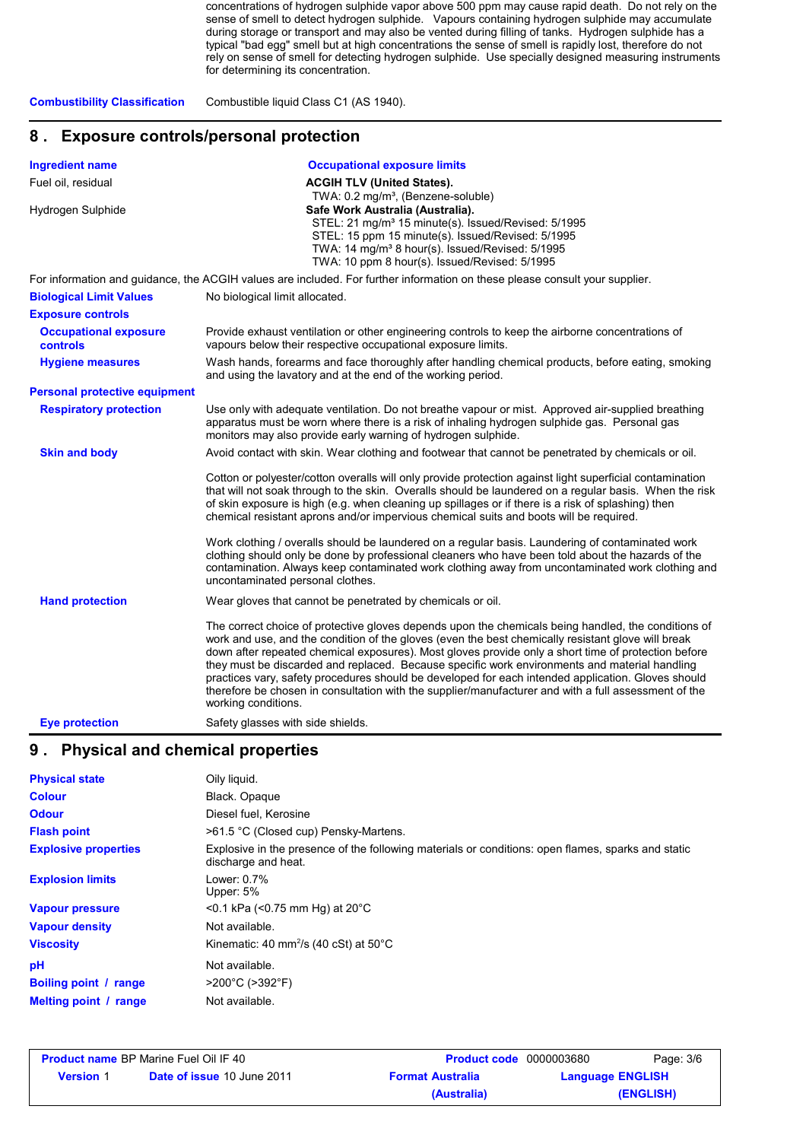concentrations of hydrogen sulphide vapor above 500 ppm may cause rapid death. Do not rely on the sense of smell to detect hydrogen sulphide. Vapours containing hydrogen sulphide may accumulate during storage or transport and may also be vented during filling of tanks. Hydrogen sulphide has a typical "bad egg" smell but at high concentrations the sense of smell is rapidly lost, therefore do not rely on sense of smell for detecting hydrogen sulphide. Use specially designed measuring instruments for determining its concentration.

**Combustibility Classification** Combustible liquid Class C1 (AS 1940).

### **8 . Exposure controls/personal protection**

| <b>Ingredient name</b>                          | <b>Occupational exposure limits</b>                                                                                                                                                                                                                                                                                                                                                                                                                                                                                                                                                                                                                    |
|-------------------------------------------------|--------------------------------------------------------------------------------------------------------------------------------------------------------------------------------------------------------------------------------------------------------------------------------------------------------------------------------------------------------------------------------------------------------------------------------------------------------------------------------------------------------------------------------------------------------------------------------------------------------------------------------------------------------|
| Fuel oil, residual                              | <b>ACGIH TLV (United States).</b>                                                                                                                                                                                                                                                                                                                                                                                                                                                                                                                                                                                                                      |
| Hydrogen Sulphide                               | TWA: 0.2 mg/m <sup>3</sup> , (Benzene-soluble)<br>Safe Work Australia (Australia).<br>STEL: 21 mg/m <sup>3</sup> 15 minute(s). Issued/Revised: 5/1995<br>STEL: 15 ppm 15 minute(s). Issued/Revised: 5/1995<br>TWA: 14 mg/m <sup>3</sup> 8 hour(s). Issued/Revised: 5/1995<br>TWA: 10 ppm 8 hour(s). Issued/Revised: 5/1995                                                                                                                                                                                                                                                                                                                             |
|                                                 | For information and guidance, the ACGIH values are included. For further information on these please consult your supplier.                                                                                                                                                                                                                                                                                                                                                                                                                                                                                                                            |
| <b>Biological Limit Values</b>                  | No biological limit allocated.                                                                                                                                                                                                                                                                                                                                                                                                                                                                                                                                                                                                                         |
| <b>Exposure controls</b>                        |                                                                                                                                                                                                                                                                                                                                                                                                                                                                                                                                                                                                                                                        |
| <b>Occupational exposure</b><br><b>controls</b> | Provide exhaust ventilation or other engineering controls to keep the airborne concentrations of<br>vapours below their respective occupational exposure limits.                                                                                                                                                                                                                                                                                                                                                                                                                                                                                       |
| <b>Hygiene measures</b>                         | Wash hands, forearms and face thoroughly after handling chemical products, before eating, smoking<br>and using the lavatory and at the end of the working period.                                                                                                                                                                                                                                                                                                                                                                                                                                                                                      |
| <b>Personal protective equipment</b>            |                                                                                                                                                                                                                                                                                                                                                                                                                                                                                                                                                                                                                                                        |
| <b>Respiratory protection</b>                   | Use only with adequate ventilation. Do not breathe vapour or mist. Approved air-supplied breathing<br>apparatus must be worn where there is a risk of inhaling hydrogen sulphide gas. Personal gas<br>monitors may also provide early warning of hydrogen sulphide.                                                                                                                                                                                                                                                                                                                                                                                    |
| <b>Skin and body</b>                            | Avoid contact with skin. Wear clothing and footwear that cannot be penetrated by chemicals or oil.                                                                                                                                                                                                                                                                                                                                                                                                                                                                                                                                                     |
|                                                 | Cotton or polyester/cotton overalls will only provide protection against light superficial contamination<br>that will not soak through to the skin. Overalls should be laundered on a regular basis. When the risk<br>of skin exposure is high (e.g. when cleaning up spillages or if there is a risk of splashing) then<br>chemical resistant aprons and/or impervious chemical suits and boots will be required.                                                                                                                                                                                                                                     |
|                                                 | Work clothing / overalls should be laundered on a regular basis. Laundering of contaminated work<br>clothing should only be done by professional cleaners who have been told about the hazards of the<br>contamination. Always keep contaminated work clothing away from uncontaminated work clothing and<br>uncontaminated personal clothes.                                                                                                                                                                                                                                                                                                          |
| <b>Hand protection</b>                          | Wear gloves that cannot be penetrated by chemicals or oil.                                                                                                                                                                                                                                                                                                                                                                                                                                                                                                                                                                                             |
|                                                 | The correct choice of protective gloves depends upon the chemicals being handled, the conditions of<br>work and use, and the condition of the gloves (even the best chemically resistant glove will break<br>down after repeated chemical exposures). Most gloves provide only a short time of protection before<br>they must be discarded and replaced. Because specific work environments and material handling<br>practices vary, safety procedures should be developed for each intended application. Gloves should<br>therefore be chosen in consultation with the supplier/manufacturer and with a full assessment of the<br>working conditions. |
| <b>Eye protection</b>                           | Safety glasses with side shields.                                                                                                                                                                                                                                                                                                                                                                                                                                                                                                                                                                                                                      |

### **9 . Physical and chemical properties**

| <b>Physical state</b>        | Oily liquid.                                                                                                              |
|------------------------------|---------------------------------------------------------------------------------------------------------------------------|
| <b>Colour</b>                | Black. Opaque                                                                                                             |
| <b>Odour</b>                 | Diesel fuel, Kerosine                                                                                                     |
| <b>Flash point</b>           | >61.5 °C (Closed cup) Pensky-Martens.                                                                                     |
| <b>Explosive properties</b>  | Explosive in the presence of the following materials or conditions: open flames, sparks and static<br>discharge and heat. |
| <b>Explosion limits</b>      | Lower: $0.7\%$<br>Upper: 5%                                                                                               |
| <b>Vapour pressure</b>       | $<$ 0.1 kPa ( $<$ 0.75 mm Hg) at 20 $^{\circ}$ C                                                                          |
| <b>Vapour density</b>        | Not available.                                                                                                            |
| <b>Viscosity</b>             | Kinematic: 40 mm <sup>2</sup> /s (40 cSt) at $50^{\circ}$ C                                                               |
| рH                           | Not available.                                                                                                            |
| <b>Boiling point / range</b> | $>200^{\circ}$ C ( $>392^{\circ}$ F)                                                                                      |
| Melting point / range        | Not available.                                                                                                            |

| <b>Product name BP Marine Fuel Oil IF 40</b> |                                   | <b>Product code</b> 0000003680 | Page: 3/6               |
|----------------------------------------------|-----------------------------------|--------------------------------|-------------------------|
| <b>Version</b> 1                             | <b>Date of issue 10 June 2011</b> | <b>Format Australia</b>        | <b>Language ENGLISH</b> |
|                                              |                                   | (Australia)                    | (ENGLISH)               |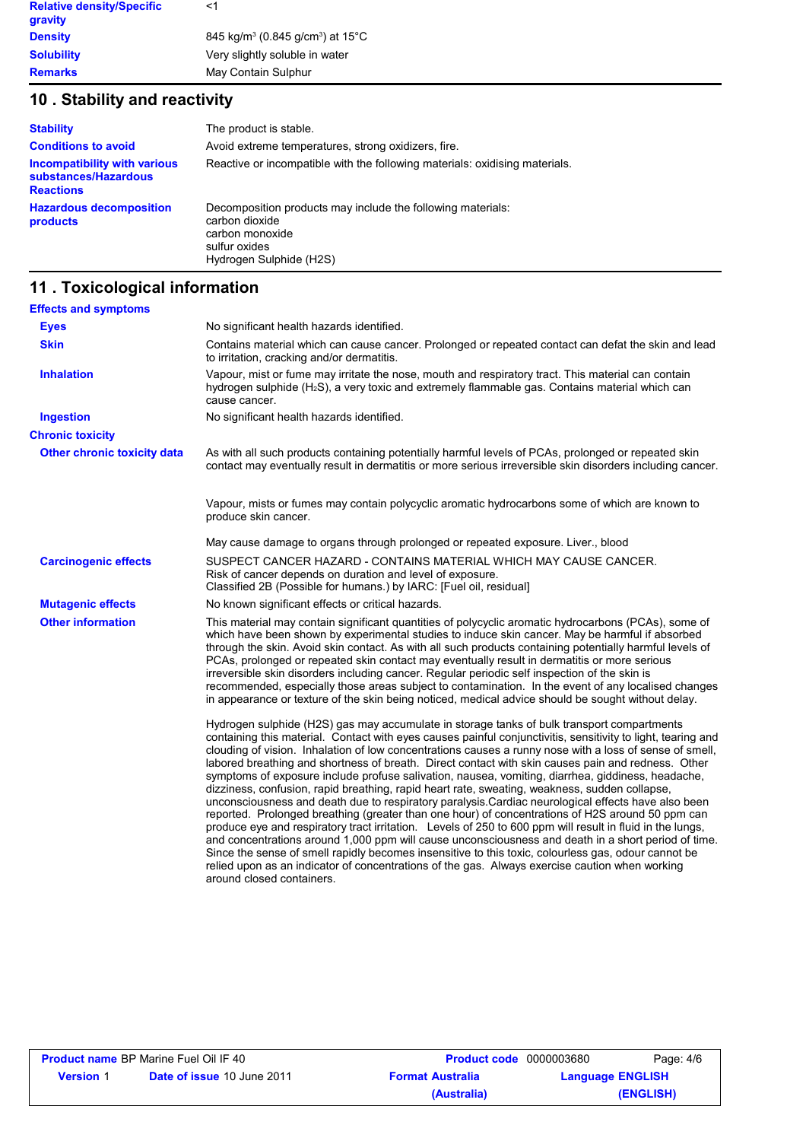| <b>Relative density/Specific</b> | <1                                                                    |
|----------------------------------|-----------------------------------------------------------------------|
| gravity                          |                                                                       |
| <b>Density</b>                   | 845 kg/m <sup>3</sup> (0.845 g/cm <sup>3</sup> ) at 15 <sup>°</sup> C |
| <b>Solubility</b>                | Very slightly soluble in water                                        |
| <b>Remarks</b>                   | May Contain Sulphur                                                   |

# **10 . Stability and reactivity**

| <b>Stability</b>                                                         | The product is stable.                                                                                                                       |
|--------------------------------------------------------------------------|----------------------------------------------------------------------------------------------------------------------------------------------|
| <b>Conditions to avoid</b>                                               | Avoid extreme temperatures, strong oxidizers, fire.                                                                                          |
| Incompatibility with various<br>substances/Hazardous<br><b>Reactions</b> | Reactive or incompatible with the following materials: oxidising materials.                                                                  |
| <b>Hazardous decomposition</b><br>products                               | Decomposition products may include the following materials:<br>carbon dioxide<br>carbon monoxide<br>sulfur oxides<br>Hydrogen Sulphide (H2S) |

# **11 . Toxicological information**

| <b>Effects and symptoms</b>        |                                                                                                                                                                                                                                                                                                                                                                                                                                                                                                                                                                                                                                                                                                                                                                                                                                                                                                                                                                                                                                                                                                                                                                                                                                                                                                       |
|------------------------------------|-------------------------------------------------------------------------------------------------------------------------------------------------------------------------------------------------------------------------------------------------------------------------------------------------------------------------------------------------------------------------------------------------------------------------------------------------------------------------------------------------------------------------------------------------------------------------------------------------------------------------------------------------------------------------------------------------------------------------------------------------------------------------------------------------------------------------------------------------------------------------------------------------------------------------------------------------------------------------------------------------------------------------------------------------------------------------------------------------------------------------------------------------------------------------------------------------------------------------------------------------------------------------------------------------------|
| <b>Eyes</b>                        | No significant health hazards identified.                                                                                                                                                                                                                                                                                                                                                                                                                                                                                                                                                                                                                                                                                                                                                                                                                                                                                                                                                                                                                                                                                                                                                                                                                                                             |
| <b>Skin</b>                        | Contains material which can cause cancer. Prolonged or repeated contact can defat the skin and lead<br>to irritation, cracking and/or dermatitis.                                                                                                                                                                                                                                                                                                                                                                                                                                                                                                                                                                                                                                                                                                                                                                                                                                                                                                                                                                                                                                                                                                                                                     |
| <b>Inhalation</b>                  | Vapour, mist or fume may irritate the nose, mouth and respiratory tract. This material can contain<br>hydrogen sulphide (H <sub>2</sub> S), a very toxic and extremely flammable gas. Contains material which can<br>cause cancer.                                                                                                                                                                                                                                                                                                                                                                                                                                                                                                                                                                                                                                                                                                                                                                                                                                                                                                                                                                                                                                                                    |
| <b>Ingestion</b>                   | No significant health hazards identified.                                                                                                                                                                                                                                                                                                                                                                                                                                                                                                                                                                                                                                                                                                                                                                                                                                                                                                                                                                                                                                                                                                                                                                                                                                                             |
| <b>Chronic toxicity</b>            |                                                                                                                                                                                                                                                                                                                                                                                                                                                                                                                                                                                                                                                                                                                                                                                                                                                                                                                                                                                                                                                                                                                                                                                                                                                                                                       |
| <b>Other chronic toxicity data</b> | As with all such products containing potentially harmful levels of PCAs, prolonged or repeated skin<br>contact may eventually result in dermatitis or more serious irreversible skin disorders including cancer.                                                                                                                                                                                                                                                                                                                                                                                                                                                                                                                                                                                                                                                                                                                                                                                                                                                                                                                                                                                                                                                                                      |
|                                    | Vapour, mists or fumes may contain polycyclic aromatic hydrocarbons some of which are known to<br>produce skin cancer.                                                                                                                                                                                                                                                                                                                                                                                                                                                                                                                                                                                                                                                                                                                                                                                                                                                                                                                                                                                                                                                                                                                                                                                |
|                                    | May cause damage to organs through prolonged or repeated exposure. Liver., blood                                                                                                                                                                                                                                                                                                                                                                                                                                                                                                                                                                                                                                                                                                                                                                                                                                                                                                                                                                                                                                                                                                                                                                                                                      |
| <b>Carcinogenic effects</b>        | SUSPECT CANCER HAZARD - CONTAINS MATERIAL WHICH MAY CAUSE CANCER.<br>Risk of cancer depends on duration and level of exposure.<br>Classified 2B (Possible for humans.) by IARC: [Fuel oil, residual]                                                                                                                                                                                                                                                                                                                                                                                                                                                                                                                                                                                                                                                                                                                                                                                                                                                                                                                                                                                                                                                                                                  |
| <b>Mutagenic effects</b>           | No known significant effects or critical hazards.                                                                                                                                                                                                                                                                                                                                                                                                                                                                                                                                                                                                                                                                                                                                                                                                                                                                                                                                                                                                                                                                                                                                                                                                                                                     |
| <b>Other information</b>           | This material may contain significant quantities of polycyclic aromatic hydrocarbons (PCAs), some of<br>which have been shown by experimental studies to induce skin cancer. May be harmful if absorbed<br>through the skin. Avoid skin contact. As with all such products containing potentially harmful levels of<br>PCAs, prolonged or repeated skin contact may eventually result in dermatitis or more serious<br>irreversible skin disorders including cancer. Regular periodic self inspection of the skin is<br>recommended, especially those areas subject to contamination. In the event of any localised changes<br>in appearance or texture of the skin being noticed, medical advice should be sought without delay.                                                                                                                                                                                                                                                                                                                                                                                                                                                                                                                                                                     |
|                                    | Hydrogen sulphide (H2S) gas may accumulate in storage tanks of bulk transport compartments<br>containing this material. Contact with eyes causes painful conjunctivitis, sensitivity to light, tearing and<br>clouding of vision. Inhalation of low concentrations causes a runny nose with a loss of sense of smell,<br>labored breathing and shortness of breath. Direct contact with skin causes pain and redness. Other<br>symptoms of exposure include profuse salivation, nausea, vomiting, diarrhea, giddiness, headache,<br>dizziness, confusion, rapid breathing, rapid heart rate, sweating, weakness, sudden collapse,<br>unconsciousness and death due to respiratory paralysis.Cardiac neurological effects have also been<br>reported. Prolonged breathing (greater than one hour) of concentrations of H2S around 50 ppm can<br>produce eye and respiratory tract irritation. Levels of 250 to 600 ppm will result in fluid in the lungs,<br>and concentrations around 1,000 ppm will cause unconsciousness and death in a short period of time.<br>Since the sense of smell rapidly becomes insensitive to this toxic, colourless gas, odour cannot be<br>relied upon as an indicator of concentrations of the gas. Always exercise caution when working<br>around closed containers. |

| <b>Product name BP Marine Fuel Oil IF 40</b> |                                   | <b>Product code</b> 0000003680 |                         | Page: 4/6 |  |
|----------------------------------------------|-----------------------------------|--------------------------------|-------------------------|-----------|--|
| <b>Version</b> 1                             | <b>Date of issue 10 June 2011</b> | <b>Format Australia</b>        | <b>Language ENGLISH</b> |           |  |
|                                              |                                   | (Australia)                    |                         | (ENGLISH) |  |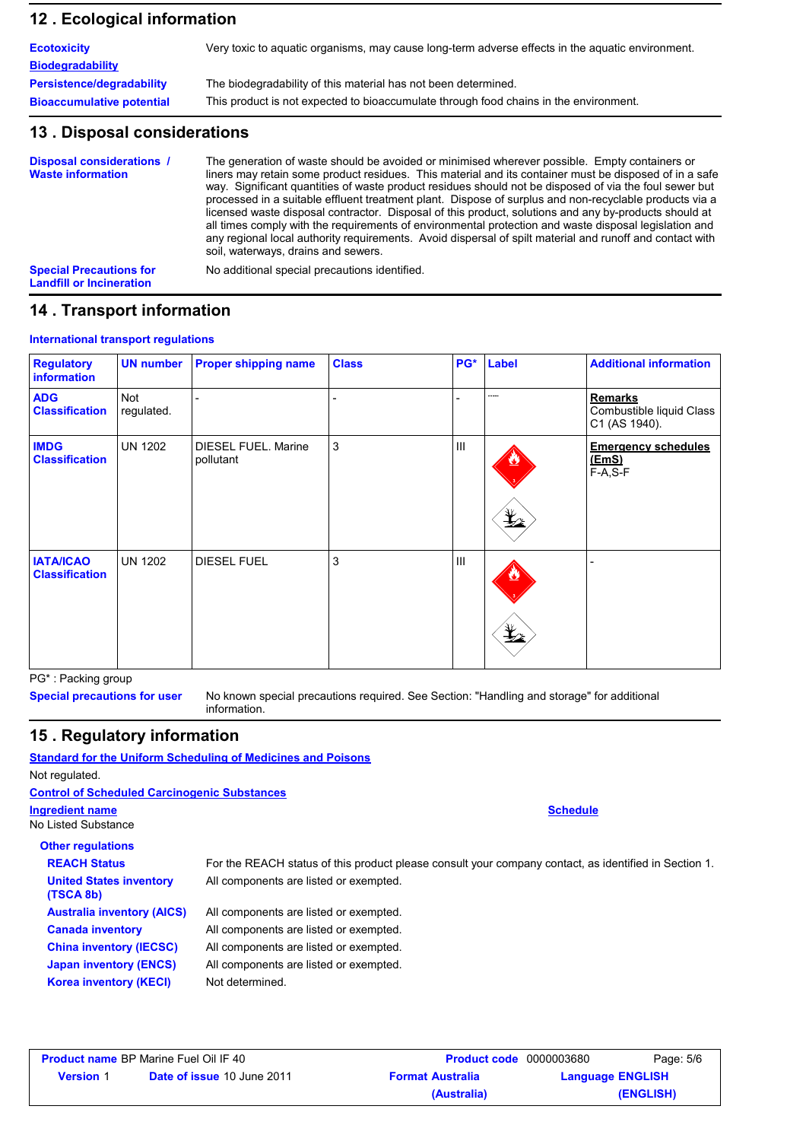### **Ecological information 12 .**

| <b>Ecotoxicity</b>               | Very toxic to aquatic organisms, may cause long-term adverse effects in the aquatic environment. |
|----------------------------------|--------------------------------------------------------------------------------------------------|
| <b>Biodegradability</b>          |                                                                                                  |
| <b>Persistence/degradability</b> | The biodegradability of this material has not been determined.                                   |
| <b>Bioaccumulative potential</b> | This product is not expected to bioaccumulate through food chains in the environment.            |

### **13 . Disposal considerations**

| <b>Disposal considerations /</b><br><b>Waste information</b>      | The generation of waste should be avoided or minimised wherever possible. Empty containers or<br>liners may retain some product residues. This material and its container must be disposed of in a safe<br>way. Significant quantities of waste product residues should not be disposed of via the foul sewer but<br>processed in a suitable effluent treatment plant. Dispose of surplus and non-recyclable products via a<br>licensed waste disposal contractor. Disposal of this product, solutions and any by-products should at<br>all times comply with the requirements of environmental protection and waste disposal legislation and<br>any regional local authority reguirements. Avoid dispersal of spilt material and runoff and contact with<br>soil, waterways, drains and sewers. |
|-------------------------------------------------------------------|--------------------------------------------------------------------------------------------------------------------------------------------------------------------------------------------------------------------------------------------------------------------------------------------------------------------------------------------------------------------------------------------------------------------------------------------------------------------------------------------------------------------------------------------------------------------------------------------------------------------------------------------------------------------------------------------------------------------------------------------------------------------------------------------------|
| <b>Special Precautions for</b><br><b>Landfill or Incineration</b> | No additional special precautions identified.                                                                                                                                                                                                                                                                                                                                                                                                                                                                                                                                                                                                                                                                                                                                                    |

### **14 . Transport information**

#### **International transport regulations**

| <b>Regulatory</b><br><b>information</b>   | <b>UN number</b>  | <b>Proper shipping name</b>             | <b>Class</b> | PG* | Label                                                                               | <b>Additional information</b>                               |
|-------------------------------------------|-------------------|-----------------------------------------|--------------|-----|-------------------------------------------------------------------------------------|-------------------------------------------------------------|
| <b>ADG</b><br><b>Classification</b>       | Not<br>regulated. |                                         |              |     | -----                                                                               | <b>Remarks</b><br>Combustible liquid Class<br>C1 (AS 1940). |
| <b>IMDG</b><br><b>Classification</b>      | <b>UN 1202</b>    | <b>DIESEL FUEL. Marine</b><br>pollutant | 3            | Ш   | $\mathbf{\mathbf{\mathbf{\mathbf{\mathbf{\mathbf{\mathbf{\mathbf{\mathbf{1}}}}}}}}$ | <b>Emergency schedules</b><br>(EmS)<br>$F-A, S-F$           |
| <b>IATA/ICAO</b><br><b>Classification</b> | <b>UN 1202</b>    | <b>DIESEL FUEL</b>                      | 3            | Ш   | $\mathbf{\mathbf{\mathbf{\mathbf{\Psi}}_2}$                                         |                                                             |

PG\* : Packing group

**Special precautions for user**

No known special precautions required. See Section: "Handling and storage" for additional information.

**Schedule**

### **15 . Regulatory information**

**Standard for the Uniform Scheduling of Medicines and Poisons** Not regulated. No Listed Substance **Other regulations** All components are listed or exempted. All components are listed or exempted. All components are listed or exempted. **Ingredient name Control of Scheduled Carcinogenic Substances Australia inventory (AICS) Canada United States inventory (TSCA 8b) REACH Status** For the REACH status of this product please consult your company contact, as identified in Section 1.

| <b>HUOWAIN INTOINOIT IFTOOT</b> | , a componente are noted or exempted.  |
|---------------------------------|----------------------------------------|
| <b>Canada inventory</b>         | All components are listed or exempted. |
| <b>China inventory (IECSC)</b>  | All components are listed or exempted. |
| <b>Japan inventory (ENCS)</b>   | All components are listed or exempted. |
| <b>Korea inventory (KECI)</b>   | Not determined.                        |

|                  | <b>Product name BP Marine Fuel Oil IF 40</b> | <b>Product code</b> 0000003680 | Page: 5/6               |
|------------------|----------------------------------------------|--------------------------------|-------------------------|
| <b>Version</b> 1 | <b>Date of issue 10 June 2011</b>            | <b>Format Australia</b>        | <b>Language ENGLISH</b> |
|                  |                                              | (Australia)                    | (ENGLISH)               |